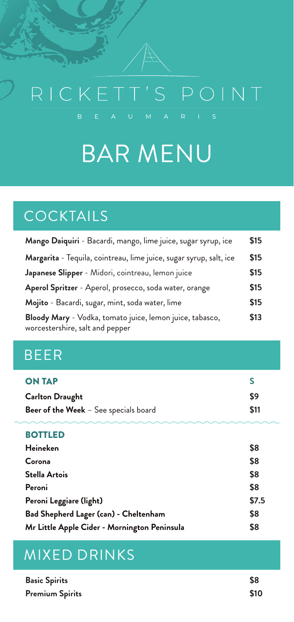# RICKETT'S POINT

## BAR MENU

## COCKTAILS

| Mango Daiquiri - Bacardi, mango, lime juice, sugar syrup, ice                               | \$15 |
|---------------------------------------------------------------------------------------------|------|
| Margarita - Tequila, cointreau, lime juice, sugar syrup, salt, ice                          | \$15 |
| Japanese Slipper - Midori, cointreau, lemon juice                                           | \$15 |
| Aperol Spritzer - Aperol, prosecco, soda water, orange                                      | \$15 |
| Mojito - Bacardi, sugar, mint, soda water, lime                                             | \$15 |
| Bloody Mary - Vodka, tomato juice, lemon juice, tabasco,<br>worcestershire, salt and pepper | \$13 |

## BEER

| <b>ON TAP</b>                                |            |
|----------------------------------------------|------------|
| <b>Carlton Draught</b>                       | S9         |
| <b>Beer of the Week</b> - See specials board | <b>S11</b> |

#### **BOTTLED**

| Heineken                                     | \$8   |
|----------------------------------------------|-------|
| Corona                                       | \$8   |
| <b>Stella Artois</b>                         | \$8   |
| Peroni                                       | \$8   |
| Peroni Leggiare (light)                      | \$7.5 |
| <b>Bad Shepherd Lager (can) - Cheltenham</b> | \$8   |
| Mr Little Apple Cider - Mornington Peninsula | \$8   |

## MIXED DRINKS

| <b>Basic Spirits</b>   | S8   |
|------------------------|------|
| <b>Premium Spirits</b> | \$10 |